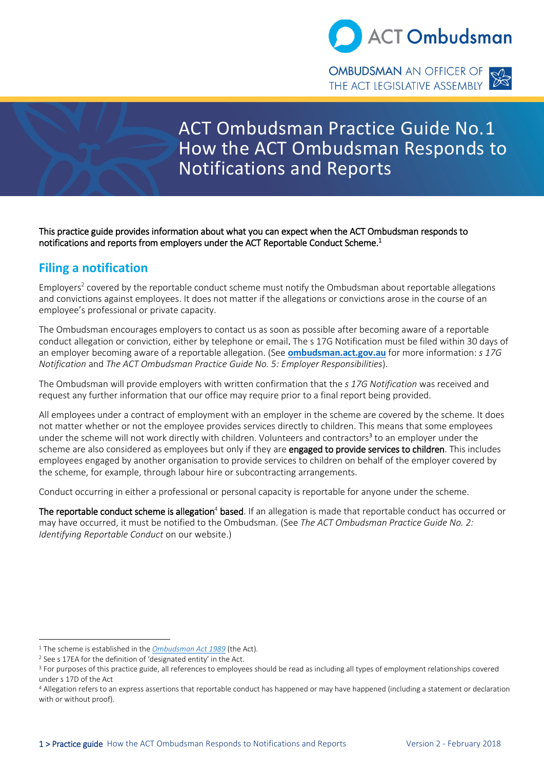

# ACT Ombudsman Practice Guide No.1 How the ACT Ombudsman Responds to Notifications and Reports

This practice guide provides information about what you can expect when the ACT Ombudsman responds to notifications and reports from employers under the ACT Reportable Conduct Scheme.<sup>1</sup>

## **Filing a notification**

Employers<sup>2</sup> covered by the reportable conduct scheme must notify the Ombudsman about reportable allegations and convictions against employees. It does not matter if the allegations or convictions arose in the course of an employee's professional or private capacity.

The Ombudsman encourages employers to contact us as soon as possible after becoming aware of a reportable conduct allegation or conviction, either by telephone or email. The s 17G Notification must be filed within 30 days of an employer becoming aware of a reportable allegation. (See **[ombudsman.act.gov.au](http://www.ombudsman.act.gov.au/reportable-conduct-scheme)** for more information: *s 17G Notification* and *The ACT Ombudsman Practice Guide No. 5: Employer Responsibilities*).

The Ombudsman will provide employers with written confirmation that the *s 17G Notification* was received and request any further information that our office may require prior to a final report being provided.

All employees under a contract of employment with an employer in the scheme are covered by the scheme. It does not matter whether or not the employee provides services directly to children. This means that some employees under the scheme will not work directly with children. Volunteers and contractors<sup>3</sup> to an employer under the scheme are also considered as employees but only if they are engaged to provide services to children. This includes employees engaged by another organisation to provide services to children on behalf of the employer covered by the scheme, for example, through labour hire or subcontracting arrangements.

Conduct occurring in either a professional or personal capacity is reportable for anyone under the scheme.

The reportable conduct scheme is allegation<sup>4</sup> based. If an allegation is made that reportable conduct has occurred or may have occurred, it must be notified to the Ombudsman. (See *The ACT Ombudsman Practice Guide No. 2: Identifying Reportable Conduct* on our website.)

<sup>1</sup> The scheme is established in the *[Ombudsman Act 1989](http://www.legislation.act.gov.au/a/alt_a1989-45co/default.asp)* (the Act).

<sup>2</sup> See s 17EA for the definition of 'designated entity' in the Act.

<sup>&</sup>lt;sup>3</sup> For purposes of this practice guide, all references to employees should be read as including all types of employment relationships covered under s 17D of the Act

<sup>4</sup> Allegation refers to an express assertions that reportable conduct has happened or may have happened (including a statement or declaration with or without proof).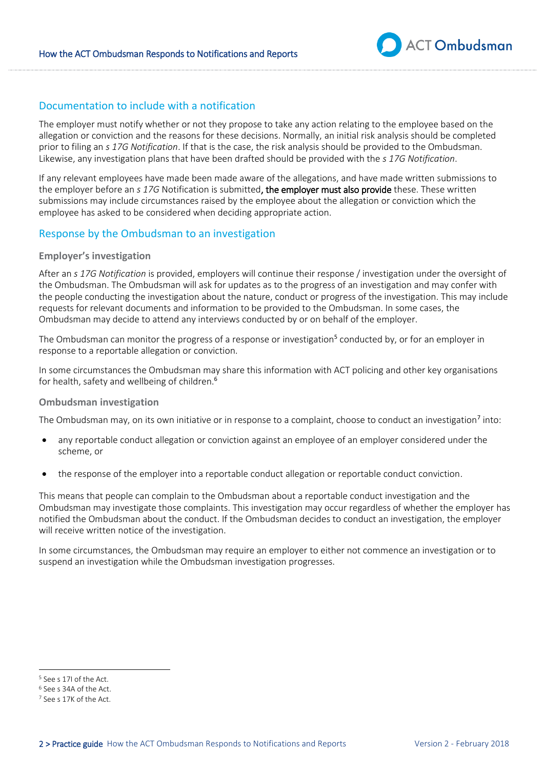

#### Documentation to include with a notification

The employer must notify whether or not they propose to take any action relating to the employee based on the allegation or conviction and the reasons for these decisions. Normally, an initial risk analysis should be completed prior to filing an *s 17G Notification*. If that is the case, the risk analysis should be provided to the Ombudsman. Likewise, any investigation plans that have been drafted should be provided with the *s 17G Notification*.

If any relevant employees have made been made aware of the allegations, and have made written submissions to the employer before an *s 17G* Notification is submitted, the employer must also provide these. These written submissions may include circumstances raised by the employee about the allegation or conviction which the employee has asked to be considered when deciding appropriate action.

#### Response by the Ombudsman to an investigation

#### **Employer's investigation**

After an *s 17G Notification* is provided, employers will continue their response / investigation under the oversight of the Ombudsman. The Ombudsman will ask for updates as to the progress of an investigation and may confer with the people conducting the investigation about the nature, conduct or progress of the investigation. This may include requests for relevant documents and information to be provided to the Ombudsman. In some cases, the Ombudsman may decide to attend any interviews conducted by or on behalf of the employer.

The Ombudsman can monitor the progress of a response or investigation<sup>5</sup> conducted by, or for an employer in response to a reportable allegation or conviction.

In some circumstances the Ombudsman may share this information with ACT policing and other key organisations for health, safety and wellbeing of children.<sup>6</sup>

#### **Ombudsman investigation**

The Ombudsman may, on its own initiative or in response to a complaint, choose to conduct an investigation<sup>7</sup> into:

- any reportable conduct allegation or conviction against an employee of an employer considered under the scheme, or
- the response of the employer into a reportable conduct allegation or reportable conduct conviction.

This means that people can complain to the Ombudsman about a reportable conduct investigation and the Ombudsman may investigate those complaints. This investigation may occur regardless of whether the employer has notified the Ombudsman about the conduct. If the Ombudsman decides to conduct an investigation, the employer will receive written notice of the investigation.

In some circumstances, the Ombudsman may require an employer to either not commence an investigation or to suspend an investigation while the Ombudsman investigation progresses.

<sup>5</sup> See s 17I of the Act.

<sup>6</sup> See s 34A of the Act.

<sup>7</sup> See s 17K of the Act.